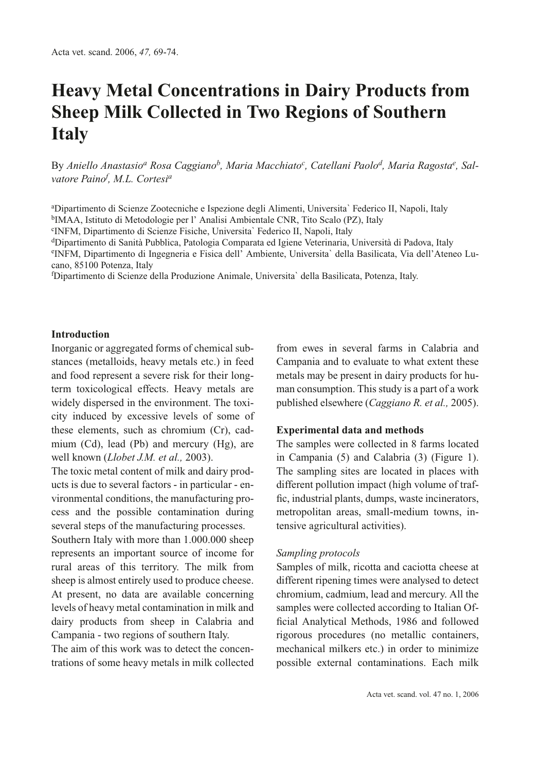# **Heavy Metal Concentrations in Dairy Products from Sheep Milk Collected in Two Regions of Southern Italy**

By *Aniello Anastasio<sup>a</sup> Rosa Caggianob, Maria Macchiatoc , Catellani Paolod, Maria Ragostae , Salvatore Paino<sup>f</sup> , M.L. Cortesi<sup>a</sup>*

a Dipartimento di Scienze Zootecniche e Ispezione degli Alimenti, Universita` Federico II, Napoli, Italy bIMAA, Istituto di Metodologie per l' Analisi Ambientale CNR, Tito Scalo (PZ), Italy

c INFM, Dipartimento di Scienze Fisiche, Universita` Federico II, Napoli, Italy

dDipartimento di Sanità Pubblica, Patologia Comparata ed Igiene Veterinaria, Università di Padova, Italy e INFM, Dipartimento di Ingegneria e Fisica dell' Ambiente, Universita` della Basilicata, Via dell'Ateneo Lucano, 85100 Potenza, Italy

f Dipartimento di Scienze della Produzione Animale, Universita` della Basilicata, Potenza, Italy.

## **Introduction**

Inorganic or aggregated forms of chemical substances (metalloids, heavy metals etc.) in feed and food represent a severe risk for their longterm toxicological effects. Heavy metals are widely dispersed in the environment. The toxicity induced by excessive levels of some of these elements, such as chromium (Cr), cadmium (Cd), lead (Pb) and mercury (Hg), are well known (*Llobet J.M. et al.,* 2003).

The toxic metal content of milk and dairy products is due to several factors - in particular - environmental conditions, the manufacturing process and the possible contamination during several steps of the manufacturing processes.

Southern Italy with more than 1.000.000 sheep represents an important source of income for rural areas of this territory. The milk from sheep is almost entirely used to produce cheese. At present, no data are available concerning levels of heavy metal contamination in milk and dairy products from sheep in Calabria and Campania - two regions of southern Italy.

The aim of this work was to detect the concentrations of some heavy metals in milk collected from ewes in several farms in Calabria and Campania and to evaluate to what extent these metals may be present in dairy products for human consumption. This study is a part of a work published elsewhere (*Caggiano R. et al.,* 2005).

## **Experimental data and methods**

The samples were collected in 8 farms located in Campania (5) and Calabria (3) (Figure 1). The sampling sites are located in places with different pollution impact (high volume of traffic, industrial plants, dumps, waste incinerators, metropolitan areas, small-medium towns, intensive agricultural activities).

#### *Sampling protocols*

Samples of milk, ricotta and caciotta cheese at different ripening times were analysed to detect chromium, cadmium, lead and mercury. All the samples were collected according to Italian Official Analytical Methods, 1986 and followed rigorous procedures (no metallic containers, mechanical milkers etc.) in order to minimize possible external contaminations. Each milk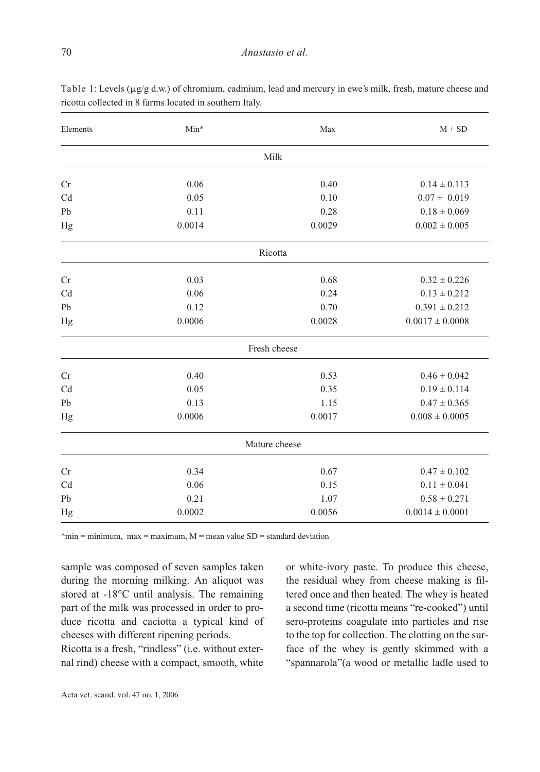| Milk<br>0.06<br>0.40<br>$0.14 \pm 0.113$<br>0.05<br>0.10<br>$0.07 \pm 0.019$<br>0.11<br>0.28<br>$0.18 \pm 0.069$<br>0.0014<br>0.0029<br>$0.002 \pm 0.005$<br>Ricotta<br>0.03<br>0.68<br>$0.32 \pm 0.226$<br>0.24<br>$0.13 \pm 0.212$<br>0.06<br>0.12<br>0.70<br>$0.391 \pm 0.212$<br>0.0006<br>0.0028<br>$0.0017 \pm 0.0008$<br>Fresh cheese<br>$0.46 \pm 0.042$<br>0.40<br>0.53<br>$0.19 \pm 0.114$<br>0.05<br>0.35<br>0.13<br>1.15<br>$0.47 \pm 0.365$<br>0.0006<br>0.0017<br>$0.008 \pm 0.0005$<br>Mature cheese<br>0.34<br>0.67<br>$0.47 \pm 0.102$<br>0.06<br>0.15<br>$0.11 \pm 0.041$<br>0.21<br>1.07<br>$0.58 \pm 0.271$<br>0.0002<br>0.0056<br>$0.0014 \pm 0.0001$ | Elements | $Min*$ | Max | $M \pm SD$ |
|----------------------------------------------------------------------------------------------------------------------------------------------------------------------------------------------------------------------------------------------------------------------------------------------------------------------------------------------------------------------------------------------------------------------------------------------------------------------------------------------------------------------------------------------------------------------------------------------------------------------------------------------------------------------------|----------|--------|-----|------------|
|                                                                                                                                                                                                                                                                                                                                                                                                                                                                                                                                                                                                                                                                            |          |        |     |            |
|                                                                                                                                                                                                                                                                                                                                                                                                                                                                                                                                                                                                                                                                            | Cr       |        |     |            |
|                                                                                                                                                                                                                                                                                                                                                                                                                                                                                                                                                                                                                                                                            | Cd       |        |     |            |
|                                                                                                                                                                                                                                                                                                                                                                                                                                                                                                                                                                                                                                                                            | Pb       |        |     |            |
|                                                                                                                                                                                                                                                                                                                                                                                                                                                                                                                                                                                                                                                                            | Hg       |        |     |            |
|                                                                                                                                                                                                                                                                                                                                                                                                                                                                                                                                                                                                                                                                            |          |        |     |            |
|                                                                                                                                                                                                                                                                                                                                                                                                                                                                                                                                                                                                                                                                            | Cr       |        |     |            |
|                                                                                                                                                                                                                                                                                                                                                                                                                                                                                                                                                                                                                                                                            | Cd       |        |     |            |
|                                                                                                                                                                                                                                                                                                                                                                                                                                                                                                                                                                                                                                                                            | Pb       |        |     |            |
|                                                                                                                                                                                                                                                                                                                                                                                                                                                                                                                                                                                                                                                                            | Hg       |        |     |            |
|                                                                                                                                                                                                                                                                                                                                                                                                                                                                                                                                                                                                                                                                            |          |        |     |            |
|                                                                                                                                                                                                                                                                                                                                                                                                                                                                                                                                                                                                                                                                            | Cr       |        |     |            |
|                                                                                                                                                                                                                                                                                                                                                                                                                                                                                                                                                                                                                                                                            | Cd       |        |     |            |
|                                                                                                                                                                                                                                                                                                                                                                                                                                                                                                                                                                                                                                                                            | Pb       |        |     |            |
|                                                                                                                                                                                                                                                                                                                                                                                                                                                                                                                                                                                                                                                                            | Hg       |        |     |            |
|                                                                                                                                                                                                                                                                                                                                                                                                                                                                                                                                                                                                                                                                            |          |        |     |            |
|                                                                                                                                                                                                                                                                                                                                                                                                                                                                                                                                                                                                                                                                            | Cr       |        |     |            |
|                                                                                                                                                                                                                                                                                                                                                                                                                                                                                                                                                                                                                                                                            | Cd       |        |     |            |
|                                                                                                                                                                                                                                                                                                                                                                                                                                                                                                                                                                                                                                                                            | Pb       |        |     |            |
|                                                                                                                                                                                                                                                                                                                                                                                                                                                                                                                                                                                                                                                                            | Hg       |        |     |            |

Table 1: Levels ( $\mu$ g/g d.w.) of chromium, cadmium, lead and mercury in ewe's milk, fresh, mature cheese and ricotta collected in 8 farms located in southern Italy.

 $*$ min = minimum, max = maximum, M = mean value SD = standard deviation

sample was composed of seven samples taken during the morning milking. An aliquot was stored at -18°C until analysis. The remaining part of the milk was processed in order to produce ricotta and caciotta a typical kind of cheeses with different ripening periods.

Ricotta is a fresh, "rindless" (i.e. without external rind) cheese with a compact, smooth, white or white-ivory paste. To produce this cheese, the residual whey from cheese making is filtered once and then heated. The whey is heated a second time (ricotta means "re-cooked") until sero-proteins coagulate into particles and rise to the top for collection. The clotting on the surface of the whey is gently skimmed with a "spannarola"(a wood or metallic ladle used to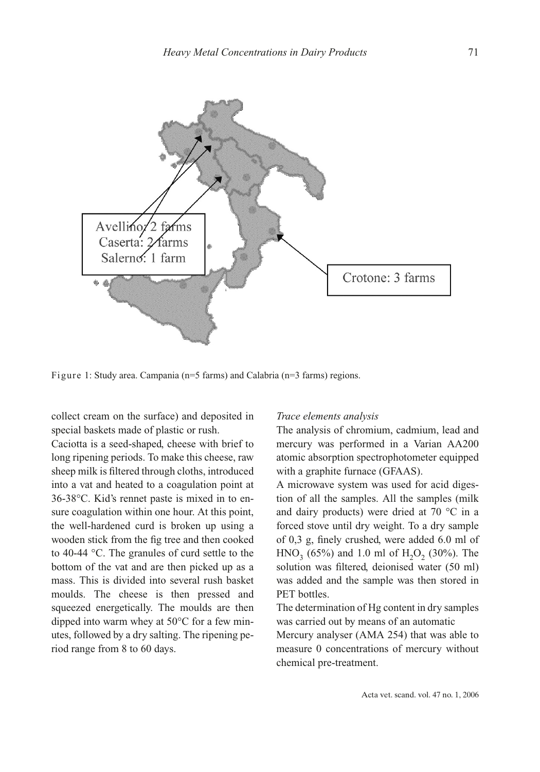

Figure 1: Study area. Campania (n=5 farms) and Calabria (n=3 farms) regions.

collect cream on the surface) and deposited in special baskets made of plastic or rush.

Caciotta is a seed-shaped, cheese with brief to long ripening periods. To make this cheese, raw sheep milk is filtered through cloths, introduced into a vat and heated to a coagulation point at 36-38°C. Kid's rennet paste is mixed in to ensure coagulation within one hour. At this point, the well-hardened curd is broken up using a wooden stick from the fig tree and then cooked to 40-44 °C. The granules of curd settle to the bottom of the vat and are then picked up as a mass. This is divided into several rush basket moulds. The cheese is then pressed and squeezed energetically. The moulds are then dipped into warm whey at 50°C for a few minutes, followed by a dry salting. The ripening period range from 8 to 60 days.

#### *Trace elements analysis*

The analysis of chromium, cadmium, lead and mercury was performed in a Varian AA200 atomic absorption spectrophotometer equipped with a graphite furnace (GFAAS).

A microwave system was used for acid digestion of all the samples. All the samples (milk and dairy products) were dried at 70 °C in a forced stove until dry weight. To a dry sample of 0,3 g, finely crushed, were added 6.0 ml of  $HNO<sub>3</sub>$  (65%) and 1.0 ml of H<sub>2</sub>O<sub>2</sub> (30%). The solution was filtered, deionised water (50 ml) was added and the sample was then stored in PET bottles.

The determination of Hg content in dry samples was carried out by means of an automatic

Mercury analyser (AMA 254) that was able to measure 0 concentrations of mercury without chemical pre-treatment.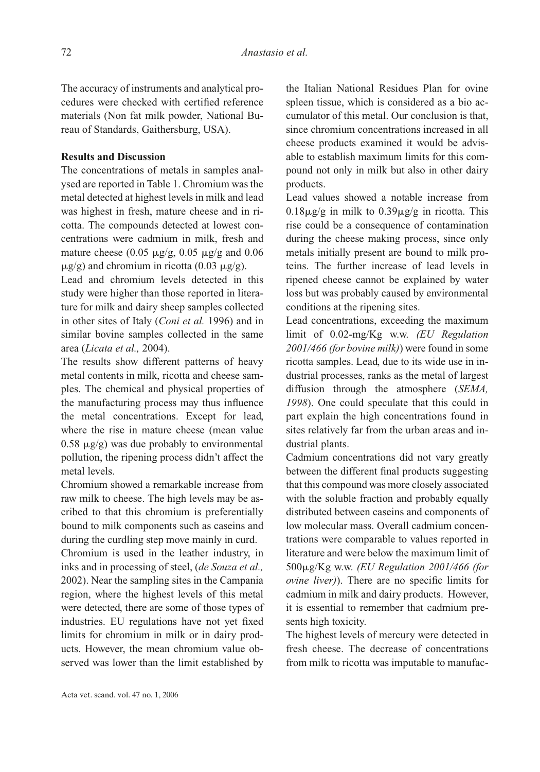The accuracy of instruments and analytical procedures were checked with certified reference materials (Non fat milk powder, National Bureau of Standards, Gaithersburg, USA).

# **Results and Discussion**

The concentrations of metals in samples analysed are reported in Table 1. Chromium was the metal detected at highest levels in milk and lead was highest in fresh, mature cheese and in ricotta. The compounds detected at lowest concentrations were cadmium in milk, fresh and mature cheese (0.05  $\mu$ g/g, 0.05  $\mu$ g/g and 0.06  $\mu$ g/g) and chromium in ricotta (0.03  $\mu$ g/g).

Lead and chromium levels detected in this study were higher than those reported in literature for milk and dairy sheep samples collected in other sites of Italy (*Coni et al.* 1996) and in similar bovine samples collected in the same area (*Licata et al.,* 2004).

The results show different patterns of heavy metal contents in milk, ricotta and cheese samples. The chemical and physical properties of the manufacturing process may thus influence the metal concentrations. Except for lead, where the rise in mature cheese (mean value  $0.58 \mu g/g$ ) was due probably to environmental pollution, the ripening process didn't affect the metal levels.

Chromium showed a remarkable increase from raw milk to cheese. The high levels may be ascribed to that this chromium is preferentially bound to milk components such as caseins and during the curdling step move mainly in curd.

Chromium is used in the leather industry, in inks and in processing of steel, (*de Souza et al.,* 2002). Near the sampling sites in the Campania region, where the highest levels of this metal were detected, there are some of those types of industries. EU regulations have not yet fixed limits for chromium in milk or in dairy products. However, the mean chromium value observed was lower than the limit established by the Italian National Residues Plan for ovine spleen tissue, which is considered as a bio accumulator of this metal. Our conclusion is that, since chromium concentrations increased in all cheese products examined it would be advisable to establish maximum limits for this compound not only in milk but also in other dairy products.

Lead values showed a notable increase from  $0.18\mu$ g/g in milk to  $0.39\mu$ g/g in ricotta. This rise could be a consequence of contamination during the cheese making process, since only metals initially present are bound to milk proteins. The further increase of lead levels in ripened cheese cannot be explained by water loss but was probably caused by environmental conditions at the ripening sites.

Lead concentrations, exceeding the maximum limit of 0.02-mg/Kg w.w. *(EU Regulation 2001/466 (for bovine milk)*) were found in some ricotta samples. Lead, due to its wide use in industrial processes, ranks as the metal of largest diffusion through the atmosphere (*SEMA, 1998*). One could speculate that this could in part explain the high concentrations found in sites relatively far from the urban areas and industrial plants.

Cadmium concentrations did not vary greatly between the different final products suggesting that this compound was more closely associated with the soluble fraction and probably equally distributed between caseins and components of low molecular mass. Overall cadmium concentrations were comparable to values reported in literature and were below the maximum limit of 500g/Kg w.w. *(EU Regulation 2001/466 (for ovine liver)*). There are no specific limits for cadmium in milk and dairy products. However, it is essential to remember that cadmium presents high toxicity.

The highest levels of mercury were detected in fresh cheese. The decrease of concentrations from milk to ricotta was imputable to manufac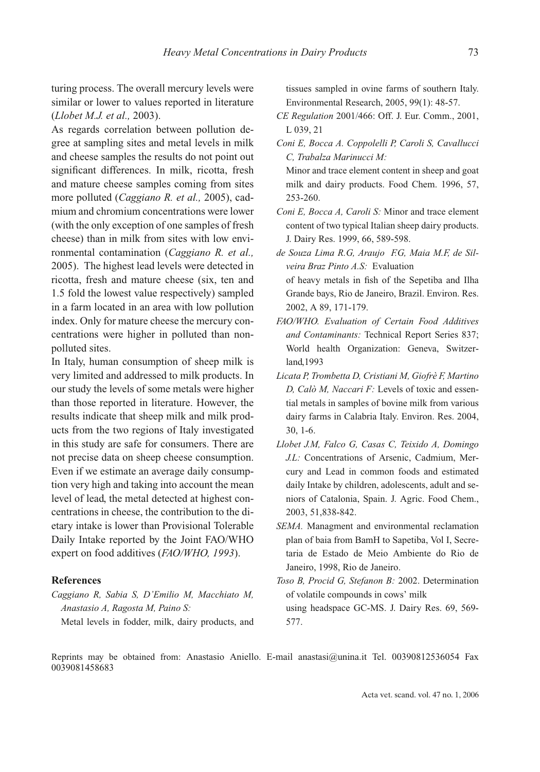turing process. The overall mercury levels were similar or lower to values reported in literature (*Llobet M.J. et al.,* 2003).

As regards correlation between pollution degree at sampling sites and metal levels in milk and cheese samples the results do not point out significant differences. In milk, ricotta, fresh and mature cheese samples coming from sites more polluted (*Caggiano R. et al.,* 2005), cadmium and chromium concentrations were lower (with the only exception of one samples of fresh cheese) than in milk from sites with low environmental contamination (*Caggiano R. et al.,* 2005). The highest lead levels were detected in ricotta, fresh and mature cheese (six, ten and 1.5 fold the lowest value respectively) sampled in a farm located in an area with low pollution index. Only for mature cheese the mercury concentrations were higher in polluted than nonpolluted sites.

In Italy, human consumption of sheep milk is very limited and addressed to milk products. In our study the levels of some metals were higher than those reported in literature. However, the results indicate that sheep milk and milk products from the two regions of Italy investigated in this study are safe for consumers. There are not precise data on sheep cheese consumption. Even if we estimate an average daily consumption very high and taking into account the mean level of lead, the metal detected at highest concentrations in cheese, the contribution to the dietary intake is lower than Provisional Tolerable Daily Intake reported by the Joint FAO/WHO expert on food additives (*FAO/WHO, 1993*).

## **References**

*Caggiano R, Sabia S, D'Emilio M, Macchiato M, Anastasio A, Ragosta M, Paino S:*

Metal levels in fodder, milk, dairy products, and

tissues sampled in ovine farms of southern Italy. Environmental Research, 2005, 99(1): 48-57.

- *CE Regulation* 2001/466: Off. J. Eur. Comm., 2001, L 039, 21
- *Coni E, Bocca A. Coppolelli P, Caroli S, Cavallucci C, Trabalza Marinucci M:* 
	- Minor and trace element content in sheep and goat milk and dairy products. Food Chem. 1996, 57, 253-260.
- *Coni E, Bocca A, Caroli S:* Minor and trace element content of two typical Italian sheep dairy products. J. Dairy Res. 1999, 66, 589-598.

*de Souza Lima R.G, Araujo F.G, Maia M.F, de Silveira Braz Pinto A.S:* Evaluation of heavy metals in fish of the Sepetiba and Ilha Grande bays, Rio de Janeiro, Brazil. Environ. Res. 2002, A 89, 171-179.

- *FAO/WHO. Evaluation of Certain Food Additives and Contaminants:* Technical Report Series 837; World health Organization: Geneva, Switzerland,1993
- *Licata P, Trombetta D, Cristiani M, Giofrè F, Martino D, Calò M, Naccari F:* Levels of toxic and essential metals in samples of bovine milk from various dairy farms in Calabria Italy. Environ. Res. 2004, 30, 1-6.
- *Llobet J.M, Falco G, Casas C, Teixido A, Domingo J.L:* Concentrations of Arsenic, Cadmium, Mercury and Lead in common foods and estimated daily Intake by children, adolescents, adult and seniors of Catalonia, Spain. J. Agric. Food Chem., 2003, 51,838-842.
- *SEMA.* Managment and environmental reclamation plan of baia from BamH to Sapetiba, Vol I, Secretaria de Estado de Meio Ambiente do Rio de Janeiro, 1998, Rio de Janeiro.
- *Toso B, Procid G, Stefanon B:* 2002. Determination of volatile compounds in cows' milk using headspace GC-MS. J. Dairy Res. 69, 569- 577.

Reprints may be obtained from: Anastasio Aniello. E-mail anastasi@unina.it Tel. 00390812536054 Fax 0039081458683